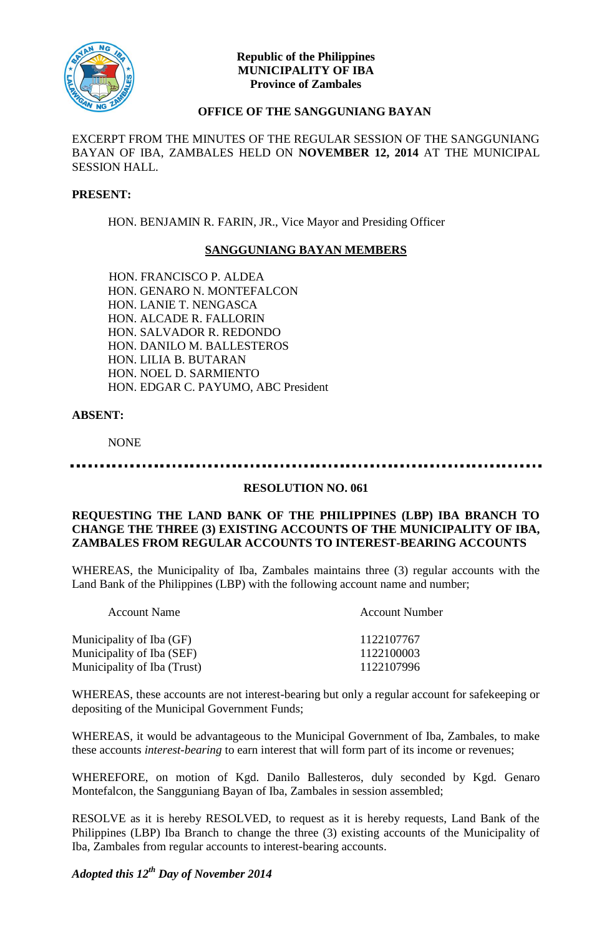

## **Republic of the Philippines MUNICIPALITY OF IBA Province of Zambales**

# **OFFICE OF THE SANGGUNIANG BAYAN**

EXCERPT FROM THE MINUTES OF THE REGULAR SESSION OF THE SANGGUNIANG BAYAN OF IBA, ZAMBALES HELD ON **NOVEMBER 12, 2014** AT THE MUNICIPAL SESSION HALL.

## **PRESENT:**

HON. BENJAMIN R. FARIN, JR., Vice Mayor and Presiding Officer

## **SANGGUNIANG BAYAN MEMBERS**

HON. FRANCISCO P. ALDEA HON. GENARO N. MONTEFALCON HON. LANIE T. NENGASCA HON. ALCADE R. FALLORIN HON. SALVADOR R. REDONDO HON. DANILO M. BALLESTEROS HON. LILIA B. BUTARAN HON. NOEL D. SARMIENTO HON. EDGAR C. PAYUMO, ABC President

### **ABSENT:**

NONE

### **RESOLUTION NO. 061**

#### **REQUESTING THE LAND BANK OF THE PHILIPPINES (LBP) IBA BRANCH TO CHANGE THE THREE (3) EXISTING ACCOUNTS OF THE MUNICIPALITY OF IBA, ZAMBALES FROM REGULAR ACCOUNTS TO INTEREST-BEARING ACCOUNTS**

WHEREAS, the Municipality of Iba, Zambales maintains three (3) regular accounts with the Land Bank of the Philippines (LBP) with the following account name and number;

| <b>Account Number</b> |
|-----------------------|
| 1122107767            |
| 1122100003            |
| 1122107996            |
|                       |

WHEREAS, these accounts are not interest-bearing but only a regular account for safekeeping or depositing of the Municipal Government Funds;

WHEREAS, it would be advantageous to the Municipal Government of Iba, Zambales, to make these accounts *interest-bearing* to earn interest that will form part of its income or revenues;

WHEREFORE, on motion of Kgd. Danilo Ballesteros, duly seconded by Kgd. Genaro Montefalcon, the Sangguniang Bayan of Iba, Zambales in session assembled;

RESOLVE as it is hereby RESOLVED, to request as it is hereby requests, Land Bank of the Philippines (LBP) Iba Branch to change the three (3) existing accounts of the Municipality of Iba, Zambales from regular accounts to interest-bearing accounts.

*Adopted this 12th Day of November 2014*